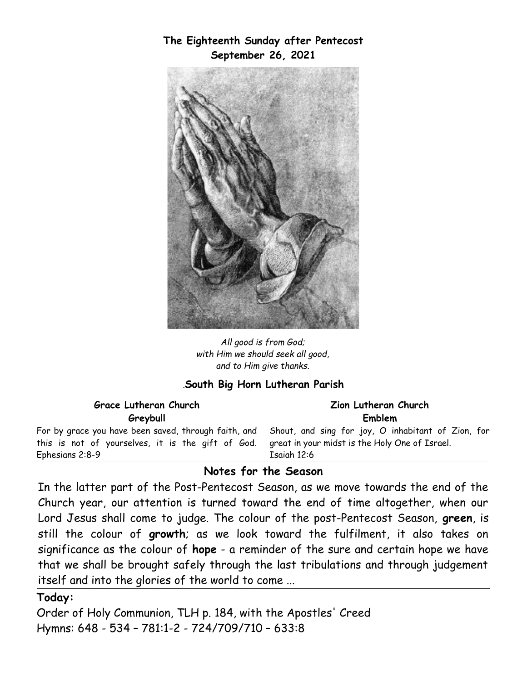# **The Eighteenth Sunday after Pentecost September 26, 2021**



*All good is from God; with Him we should seek all good, and to Him give thanks.*

## *.***South Big Horn Lutheran Parish**

| Grace Lutheran Church                                                                                                                                                                                       | Zion Lutheran Church |  |
|-------------------------------------------------------------------------------------------------------------------------------------------------------------------------------------------------------------|----------------------|--|
| Greybull                                                                                                                                                                                                    | Emblem               |  |
| For by grace you have been saved, through faith, and Shout, and sing for joy, O inhabitant of Zion, for<br>this is not of yourselves, it is the gift of God. great in your midst is the Holy One of Israel. |                      |  |
| Ephesians 2:8-9                                                                                                                                                                                             | Esaigh 12:6          |  |

## **Notes for the Season**

 $|{\rm In}$  the latter part of the Post-Pentecost Season, as we move towards the end of the $|$ Church year, our attention is turned toward the end of time altogether, when our Lord Jesus shall come to judge. The colour of the post-Pentecost Season, **green**, is still the colour of **growth**; as we look toward the fulfilment, it also takes on significance as the colour of **hope** - a reminder of the sure and certain hope we have that we shall be brought safely through the last tribulations and through judgement itself and into the glories of the world to come ...

#### **Today:**

Order of Holy Communion, TLH p. 184, with the Apostles' Creed Hymns: 648 - 534 – 781:1-2 - 724/709/710 – 633:8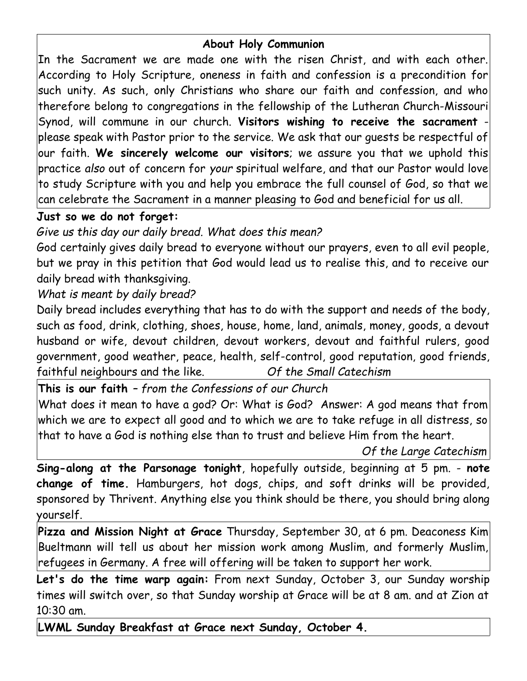## **About Holy Communion**

In the Sacrament we are made one with the risen Christ, and with each other. According to Holy Scripture, oneness in faith and confession is a precondition for such unity. As such, only Christians who share our faith and confession, and who therefore belong to congregations in the fellowship of the Lutheran Church-Missouri Synod, will commune in our church. **Visitors wishing to receive the sacrament** please speak with Pastor prior to the service. We ask that our guests be respectful of our faith. **We sincerely welcome our visitors**; we assure you that we uphold this practice *also* out of concern for *your* spiritual welfare, and that our Pastor would love to study Scripture with you and help you embrace the full counsel of God, so that we can celebrate the Sacrament in a manner pleasing to God and beneficial for us all.

# **Just so we do not forget:**

*Give us this day our daily bread. What does this mean?*

God certainly gives daily bread to everyone without our prayers, even to all evil people, but we pray in this petition that God would lead us to realise this, and to receive our daily bread with thanksgiving.

*What is meant by daily bread?*

Daily bread includes everything that has to do with the support and needs of the body, such as food, drink, clothing, shoes, house, home, land, animals, money, goods, a devout husband or wife, devout children, devout workers, devout and faithful rulers, good government, good weather, peace, health, self-control, good reputation, good friends, faithful neighbours and the like. *Of the Small Catechism*

**This is our faith** *– from the Confessions of our Church* What does it mean to have a god? Or: What is God? Answer: A god means that from which we are to expect all good and to which we are to take refuge in all distress, so that to have a God is nothing else than to trust and believe Him from the heart.

*Of the Large Catechism*

**Sing-along at the Parsonage tonight**, hopefully outside, beginning at 5 pm. - **note change of time.** Hamburgers, hot dogs, chips, and soft drinks will be provided, sponsored by Thrivent. Anything else you think should be there, you should bring along yourself.

**Pizza and Mission Night at Grace** Thursday, September 30, at 6 pm. Deaconess Kim Bueltmann will tell us about her mission work among Muslim, and formerly Muslim, refugees in Germany. A free will offering will be taken to support her work.

**Let's do the time warp again:** From next Sunday, October 3, our Sunday worship times will switch over, so that Sunday worship at Grace will be at 8 am. and at Zion at 10:30 am.

**LWML Sunday Breakfast at Grace next Sunday, October 4.**